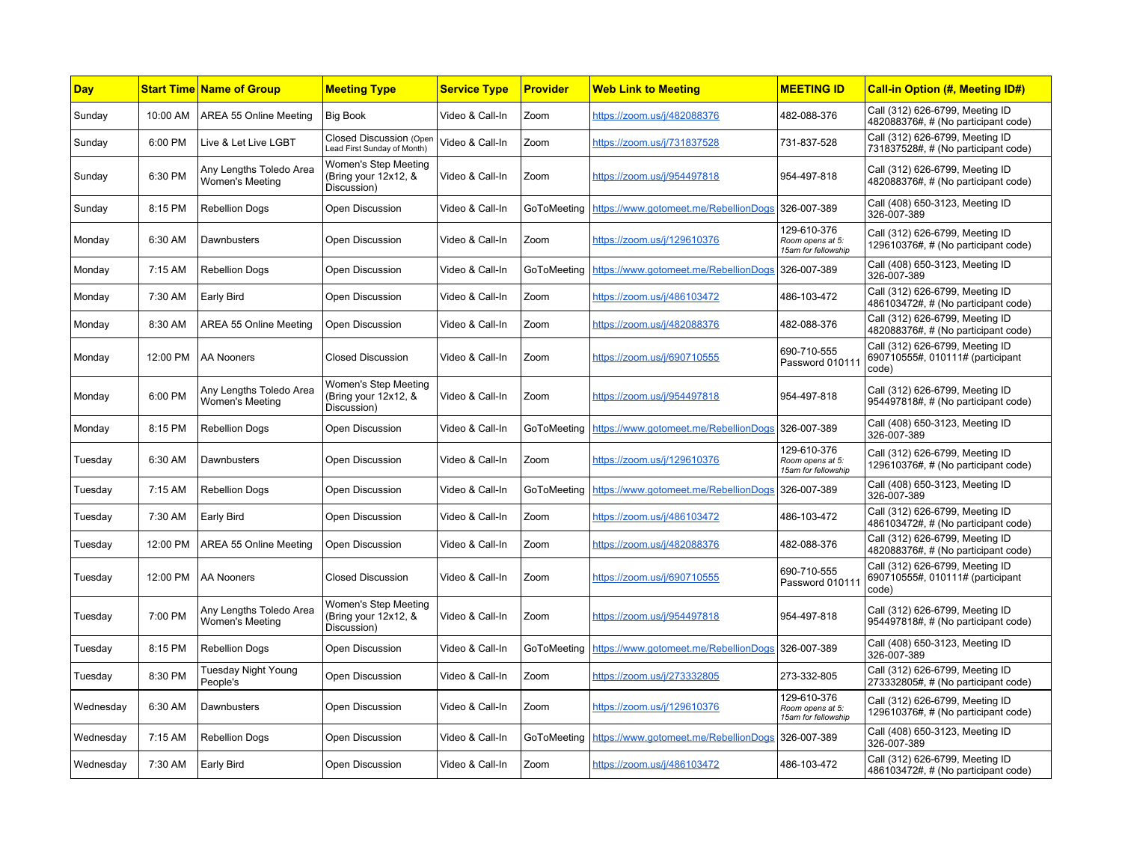| <b>Day</b> |          | <b>Start Time Name of Group</b>                   | <b>Meeting Type</b>                                         | <b>Service Type</b> | <b>Provider</b> | <b>Web Link to Meeting</b>                          | <b>MEETING ID</b>                                      | <b>Call-in Option (#, Meeting ID#)</b>                                       |
|------------|----------|---------------------------------------------------|-------------------------------------------------------------|---------------------|-----------------|-----------------------------------------------------|--------------------------------------------------------|------------------------------------------------------------------------------|
| Sunday     | 10:00 AM | AREA 55 Online Meeting                            | <b>Big Book</b>                                             | Video & Call-In     | Zoom            | https://zoom.us/i/482088376                         | 482-088-376                                            | Call (312) 626-6799, Meeting ID<br>482088376#, # (No participant code)       |
| Sunday     | 6:00 PM  | Live & Let Live LGBT                              | Closed Discussion (Open<br>Lead First Sunday of Month)      | Video & Call-In     | Zoom            | https://zoom.us/i/731837528                         | 731-837-528                                            | Call (312) 626-6799, Meeting ID<br>731837528#, # (No participant code)       |
| Sunday     | 6:30 PM  | Any Lengths Toledo Area<br><b>Women's Meeting</b> | Women's Step Meeting<br>(Bring your 12x12, &<br>Discussion) | Video & Call-In     | Zoom            | https://zoom.us/i/954497818                         | 954-497-818                                            | Call (312) 626-6799, Meeting ID<br>482088376#, # (No participant code)       |
| Sunday     | 8:15 PM  | <b>Rebellion Dogs</b>                             | Open Discussion                                             | Video & Call-In     | GoToMeeting     | https://www.gotomeet.me/RebellionDogs               | 326-007-389                                            | Call (408) 650-3123, Meeting ID<br>326-007-389                               |
| Monday     | 6:30 AM  | Dawnbusters                                       | Open Discussion                                             | Video & Call-In     | Zoom            | https://zoom.us/j/129610376                         | 129-610-376<br>Room opens at 5:<br>15am for fellowship | Call (312) 626-6799, Meeting ID<br>129610376#, # (No participant code)       |
| Monday     | 7:15 AM  | <b>Rebellion Dogs</b>                             | <b>Open Discussion</b>                                      | Video & Call-In     | GoToMeeting     | https://www.gotomeet.me/RebellionDogs               | 326-007-389                                            | Call (408) 650-3123, Meeting ID<br>326-007-389                               |
| Monday     | 7:30 AM  | <b>Early Bird</b>                                 | <b>Open Discussion</b>                                      | Video & Call-In     | Zoom            | https://zoom.us/j/486103472                         | 486-103-472                                            | Call (312) 626-6799, Meeting ID<br>486103472#, # (No participant code)       |
| Monday     | 8:30 AM  | AREA 55 Online Meeting                            | <b>Open Discussion</b>                                      | Video & Call-In     | Zoom            | https://zoom.us/j/482088376                         | 482-088-376                                            | Call (312) 626-6799, Meeting ID<br>482088376#, # (No participant code)       |
| Monday     | 12:00 PM | <b>AA Nooners</b>                                 | <b>Closed Discussion</b>                                    | Video & Call-In     | Zoom            | https://zoom.us/j/690710555                         | 690-710-555<br>Password 01011                          | Call (312) 626-6799, Meeting ID<br>690710555#, 010111# (participant<br>code) |
| Monday     | 6:00 PM  | Any Lengths Toledo Area<br>Women's Meeting        | Women's Step Meeting<br>(Bring your 12x12, &<br>Discussion) | Video & Call-In     | Zoom            | https://zoom.us/j/954497818                         | 954-497-818                                            | Call (312) 626-6799, Meeting ID<br>954497818#, # (No participant code)       |
| Monday     | 8:15 PM  | <b>Rebellion Dogs</b>                             | <b>Open Discussion</b>                                      | Video & Call-In     | GoToMeeting     | https://www.gotomeet.me/RebellionDogs               | 326-007-389                                            | Call (408) 650-3123, Meeting ID<br>326-007-389                               |
| Tuesday    | 6:30 AM  | Dawnbusters                                       | <b>Open Discussion</b>                                      | Video & Call-In     | Zoom            | https://zoom.us/j/129610376                         | 129-610-376<br>Room opens at 5:<br>15am for fellowship | Call (312) 626-6799, Meeting ID<br>129610376#, # (No participant code)       |
| Tuesday    | 7:15 AM  | <b>Rebellion Dogs</b>                             | <b>Open Discussion</b>                                      | Video & Call-In     | GoToMeeting     | https://www.gotomeet.me/RebellionDogs               | 326-007-389                                            | Call (408) 650-3123, Meeting ID<br>326-007-389                               |
| Tuesday    | 7:30 AM  | <b>Early Bird</b>                                 | <b>Open Discussion</b>                                      | Video & Call-In     | Zoom            | https://zoom.us/j/486103472                         | 486-103-472                                            | Call (312) 626-6799, Meeting ID<br>486103472#, # (No participant code)       |
| Tuesday    | 12:00 PM | <b>AREA 55 Online Meeting</b>                     | <b>Open Discussion</b>                                      | Video & Call-In     | Zoom            | https://zoom.us/j/482088376                         | 482-088-376                                            | Call (312) 626-6799, Meeting ID<br>482088376#, # (No participant code)       |
| Tuesday    | 12:00 PM | AA Nooners                                        | <b>Closed Discussion</b>                                    | Video & Call-In     | Zoom            | https://zoom.us/j/690710555                         | 690-710-555<br>Password 01011                          | Call (312) 626-6799, Meeting ID<br>690710555#, 010111# (participant<br>code) |
| Tuesday    | 7:00 PM  | Any Lengths Toledo Area<br>Women's Meeting        | Women's Step Meeting<br>(Bring your 12x12, &<br>Discussion) | Video & Call-In     | Zoom            | https://zoom.us/j/954497818                         | 954-497-818                                            | Call (312) 626-6799, Meeting ID<br>954497818#, # (No participant code)       |
| Tuesday    | 8:15 PM  | <b>Rebellion Dogs</b>                             | <b>Open Discussion</b>                                      | Video & Call-In     | GoToMeeting     | https://www.gotomeet.me/RebellionDogs               | 326-007-389                                            | Call (408) 650-3123, Meeting ID<br>326-007-389                               |
| Tuesday    | 8:30 PM  | Tuesday Night Young<br>People's                   | <b>Open Discussion</b>                                      | Video & Call-In     | Zoom            | https://zoom.us/j/273332805                         | 273-332-805                                            | Call (312) 626-6799, Meeting ID<br>273332805#, # (No participant code)       |
| Wednesday  | 6:30 AM  | Dawnbusters                                       | Open Discussion                                             | Video & Call-In     | Zoom            | https://zoom.us/j/129610376                         | 129-610-376<br>Room opens at 5:<br>15am for fellowship | Call (312) 626-6799, Meeting ID<br>129610376#, # (No participant code)       |
| Wednesday  | 7:15 AM  | <b>Rebellion Dogs</b>                             | Open Discussion                                             | Video & Call-In     |                 | GoToMeeting   https://www.gotomeet.me/RebellionDogs | 326-007-389                                            | Call (408) 650-3123, Meeting ID<br>326-007-389                               |
| Wednesday  | 7:30 AM  | <b>Early Bird</b>                                 | <b>Open Discussion</b>                                      | Video & Call-In     | Zoom            | https://zoom.us/j/486103472                         | 486-103-472                                            | Call (312) 626-6799, Meeting ID<br>486103472#, # (No participant code)       |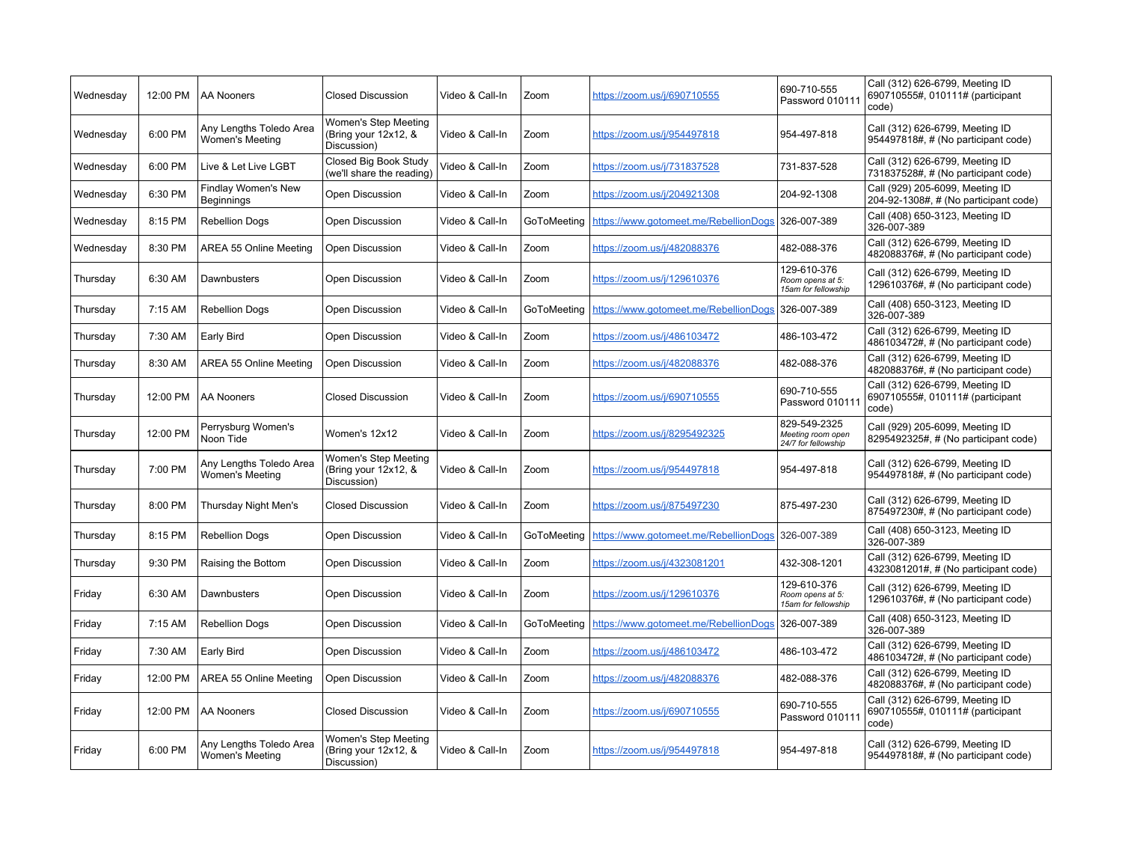| Wednesday | 12:00 PM | <b>AA Nooners</b>                          | <b>Closed Discussion</b>                                    | Video & Call-In | Zoom        | https://zoom.us/j/690710555           | 690-710-555<br>Password 01011                            | Call (312) 626-6799, Meeting ID<br>690710555#, 010111# (participant<br>code) |
|-----------|----------|--------------------------------------------|-------------------------------------------------------------|-----------------|-------------|---------------------------------------|----------------------------------------------------------|------------------------------------------------------------------------------|
| Wednesdav | 6:00 PM  | Any Lengths Toledo Area<br>Women's Meeting | Women's Step Meeting<br>(Bring your 12x12, &<br>Discussion) | Video & Call-In | Zoom        | https://zoom.us/i/954497818           | 954-497-818                                              | Call (312) 626-6799, Meeting ID<br>954497818#, # (No participant code)       |
| Wednesday | 6:00 PM  | Live & Let Live LGBT                       | Closed Big Book Study<br>(we'll share the reading)          | Video & Call-In | Zoom        | https://zoom.us/j/731837528           | 731-837-528                                              | Call (312) 626-6799, Meeting ID<br>731837528#, # (No participant code)       |
| Wednesday | 6:30 PM  | <b>Findlay Women's New</b><br>Beginnings   | <b>Open Discussion</b>                                      | Video & Call-In | Zoom        | https://zoom.us/j/204921308           | 204-92-1308                                              | Call (929) 205-6099, Meeting ID<br>204-92-1308#, # (No participant code)     |
| Wednesday | 8:15 PM  | <b>Rebellion Dogs</b>                      | Open Discussion                                             | Video & Call-In | GoToMeeting | https://www.gotomeet.me/RebellionDogs | 326-007-389                                              | Call (408) 650-3123, Meeting ID<br>326-007-389                               |
| Wednesday | 8:30 PM  | AREA 55 Online Meeting                     | Open Discussion                                             | Video & Call-In | Zoom        | https://zoom.us/i/482088376           | 482-088-376                                              | Call (312) 626-6799, Meeting ID<br>482088376#, # (No participant code)       |
| Thursday  | 6:30 AM  | Dawnbusters                                | Open Discussion                                             | Video & Call-In | Zoom        | https://zoom.us/j/129610376           | 129-610-376<br>Room opens at 5:<br>15am for fellowship   | Call (312) 626-6799, Meeting ID<br>129610376#, # (No participant code)       |
| Thursday  | 7:15 AM  | <b>Rebellion Dogs</b>                      | <b>Open Discussion</b>                                      | Video & Call-In | GoToMeeting | https://www.gotomeet.me/RebellionDogs | 326-007-389                                              | Call (408) 650-3123, Meeting ID<br>326-007-389                               |
| Thursday  | 7:30 AM  | Early Bird                                 | <b>Open Discussion</b>                                      | Video & Call-In | Zoom        | https://zoom.us/i/486103472           | 486-103-472                                              | Call (312) 626-6799, Meeting ID<br>486103472#, # (No participant code)       |
| Thursday  | 8:30 AM  | AREA 55 Online Meeting                     | <b>Open Discussion</b>                                      | Video & Call-In | Zoom        | https://zoom.us/i/482088376           | 482-088-376                                              | Call (312) 626-6799, Meeting ID<br>482088376#, # (No participant code)       |
| Thursday  | 12:00 PM | <b>AA Nooners</b>                          | <b>Closed Discussion</b>                                    | Video & Call-In | Zoom        | https://zoom.us/j/690710555           | 690-710-555<br>Password 01011                            | Call (312) 626-6799, Meeting ID<br>690710555#, 010111# (participant<br>code) |
| Thursday  | 12:00 PM | Perrysburg Women's<br>Noon Tide            | Women's 12x12                                               | Video & Call-In | Zoom        | https://zoom.us/i/8295492325          | 829-549-2325<br>Meeting room open<br>24/7 for fellowship | Call (929) 205-6099, Meeting ID<br>8295492325#, # (No participant code)      |
| Thursday  | 7:00 PM  | Any Lengths Toledo Area<br>Women's Meeting | Women's Step Meeting<br>(Bring your 12x12, &<br>Discussion) | Video & Call-In | Zoom        | https://zoom.us/j/954497818           | 954-497-818                                              | Call (312) 626-6799, Meeting ID<br>954497818#, # (No participant code)       |
| Thursday  | 8:00 PM  | Thursday Night Men's                       | <b>Closed Discussion</b>                                    | Video & Call-In | Zoom        | https://zoom.us/j/875497230           | 875-497-230                                              | Call (312) 626-6799, Meeting ID<br>875497230#, # (No participant code)       |
| Thursday  | 8:15 PM  | <b>Rebellion Dogs</b>                      | Open Discussion                                             | Video & Call-In | GoToMeeting | https://www.gotomeet.me/RebellionDogs | 326-007-389                                              | Call (408) 650-3123, Meeting ID<br>326-007-389                               |
| Thursday  | 9:30 PM  | Raising the Bottom                         | Open Discussion                                             | Video & Call-In | Zoom        | https://zoom.us/j/4323081201          | 432-308-1201                                             | Call (312) 626-6799, Meeting ID<br>4323081201#, # (No participant code)      |
| Friday    | 6:30 AM  | Dawnbusters                                | <b>Open Discussion</b>                                      | Video & Call-In | Zoom        | https://zoom.us/j/129610376           | 129-610-376<br>Room opens at 5:<br>15am for fellowship   | Call (312) 626-6799, Meeting ID<br>129610376#, # (No participant code)       |
| Friday    | 7:15 AM  | <b>Rebellion Dogs</b>                      | <b>Open Discussion</b>                                      | Video & Call-In | GoToMeeting | https://www.gotomeet.me/RebellionDogs | 326-007-389                                              | Call (408) 650-3123, Meeting ID<br>326-007-389                               |
| Friday    | 7:30 AM  | Early Bird                                 | Open Discussion                                             | Video & Call-In | Zoom        | https://zoom.us/j/486103472           | 486-103-472                                              | Call (312) 626-6799, Meeting ID<br>486103472#, # (No participant code)       |
| Friday    | 12:00 PM | AREA 55 Online Meeting                     | Open Discussion                                             | Video & Call-In | Zoom        | https://zoom.us/j/482088376           | 482-088-376                                              | Call (312) 626-6799, Meeting ID<br>482088376#, # (No participant code)       |
| Friday    | 12:00 PM | <b>AA Nooners</b>                          | <b>Closed Discussion</b>                                    | Video & Call-In | Zoom        | https://zoom.us/j/690710555           | 690-710-555<br>Password 01011                            | Call (312) 626-6799, Meeting ID<br>690710555#, 010111# (participant<br>code) |
| Friday    | 6:00 PM  | Any Lengths Toledo Area<br>Women's Meeting | Women's Step Meeting<br>(Bring your 12x12, &<br>Discussion) | Video & Call-In | Zoom        | https://zoom.us/j/954497818           | 954-497-818                                              | Call (312) 626-6799, Meeting ID<br>954497818#, # (No participant code)       |